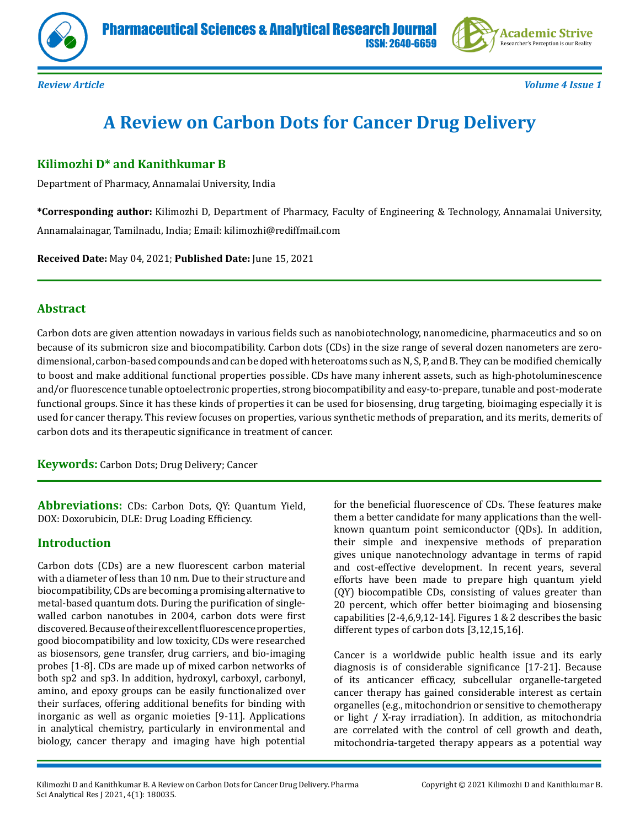



*Review Article Volume 4 Issue 1*

# **A Review on Carbon Dots for Cancer Drug Delivery**

# **Kilimozhi D\* and Kanithkumar B**

Department of Pharmacy, Annamalai University, India

**\*Corresponding author:** Kilimozhi D, Department of Pharmacy, Faculty of Engineering & Technology, Annamalai University, Annamalainagar, Tamilnadu, India; Email: kilimozhi@rediffmail.com

**Received Date:** May 04, 2021; **Published Date:** June 15, 2021

## **Abstract**

Carbon dots are given attention nowadays in various fields such as nanobiotechnology, nanomedicine, pharmaceutics and so on because of its submicron size and biocompatibility. Carbon dots (CDs) in the size range of several dozen nanometers are zerodimensional, carbon-based compounds and can be doped with heteroatoms such as N, S, P, and B. They can be modified chemically to boost and make additional functional properties possible. CDs have many inherent assets, such as high-photoluminescence and/or fluorescence tunable optoelectronic properties, strong biocompatibility and easy-to-prepare, tunable and post-moderate functional groups. Since it has these kinds of properties it can be used for biosensing, drug targeting, bioimaging especially it is used for cancer therapy. This review focuses on properties, various synthetic methods of preparation, and its merits, demerits of carbon dots and its therapeutic significance in treatment of cancer.

**Keywords:** Carbon Dots; Drug Delivery; Cancer

**Abbreviations:** CDs: Carbon Dots, QY: Quantum Yield, DOX: Doxorubicin, DLE: Drug Loading Efficiency.

# **Introduction**

Carbon dots (CDs) are a new fluorescent carbon material with a diameter of less than 10 nm. Due to their structure and biocompatibility, CDs are becoming a promising alternative to metal-based quantum dots. During the purification of singlewalled carbon nanotubes in 2004, carbon dots were first discovered. Because of their excellent fluorescence properties, good biocompatibility and low toxicity, CDs were researched as biosensors, gene transfer, drug carriers, and bio-imaging probes [1-8]. CDs are made up of mixed carbon networks of both sp2 and sp3. In addition, hydroxyl, carboxyl, carbonyl, amino, and epoxy groups can be easily functionalized over their surfaces, offering additional benefits for binding with inorganic as well as organic moieties [9-11]. Applications in analytical chemistry, particularly in environmental and biology, cancer therapy and imaging have high potential

for the beneficial fluorescence of CDs. These features make them a better candidate for many applications than the wellknown quantum point semiconductor (QDs). In addition, their simple and inexpensive methods of preparation gives unique nanotechnology advantage in terms of rapid and cost-effective development. In recent years, several efforts have been made to prepare high quantum yield (QY) biocompatible CDs, consisting of values greater than 20 percent, which offer better bioimaging and biosensing capabilities [2-4,6,9,12-14]. Figures 1 & 2 describes the basic different types of carbon dots [3,12,15,16].

Cancer is a worldwide public health issue and its early diagnosis is of considerable significance [17-21]. Because of its anticancer efficacy, subcellular organelle-targeted cancer therapy has gained considerable interest as certain organelles (e.g., mitochondrion or sensitive to chemotherapy or light / X-ray irradiation). In addition, as mitochondria are correlated with the control of cell growth and death, mitochondria-targeted therapy appears as a potential way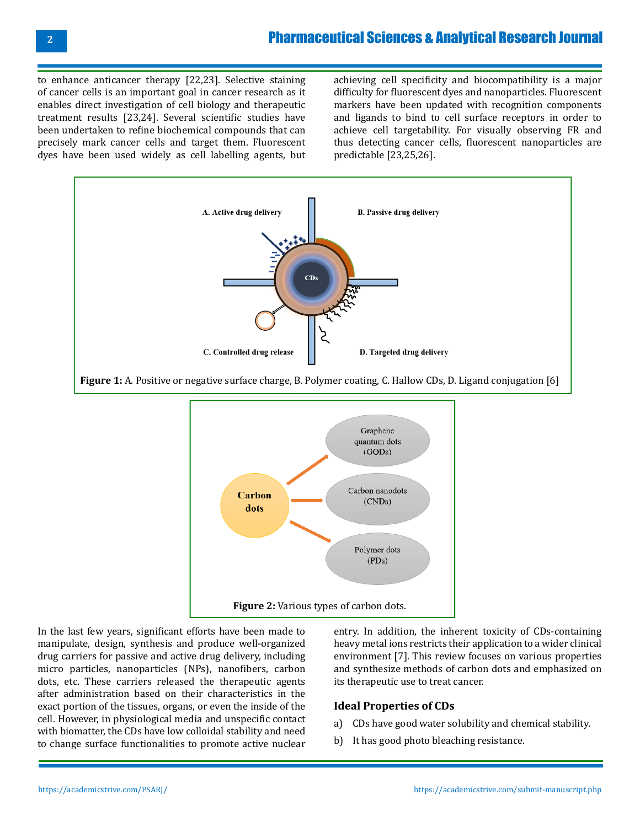# Pharmaceutical Sciences & Analytical Research Journal

to enhance anticancer therapy [22,23]. Selective staining of cancer cells is an important goal in cancer research as it enables direct investigation of cell biology and therapeutic treatment results [23,24]. Several scientific studies have been undertaken to refine biochemical compounds that can precisely mark cancer cells and target them. Fluorescent dyes have been used widely as cell labelling agents, but

achieving cell specificity and biocompatibility is a major difficulty for fluorescent dyes and nanoparticles. Fluorescent markers have been updated with recognition components and ligands to bind to cell surface receptors in order to achieve cell targetability. For visually observing FR and thus detecting cancer cells, fluorescent nanoparticles are predictable [23,25,26].





In the last few years, significant efforts have been made to manipulate, design, synthesis and produce well-organized drug carriers for passive and active drug delivery, including micro particles, nanoparticles (NPs), nanofibers, carbon dots, etc. These carriers released the therapeutic agents after administration based on their characteristics in the exact portion of the tissues, organs, or even the inside of the cell. However, in physiological media and unspecific contact with biomatter, the CDs have low colloidal stability and need to change surface functionalities to promote active nuclear

entry. In addition, the inherent toxicity of CDs-containing heavy metal ions restricts their application to a wider clinical environment [7]. This review focuses on various properties and synthesize methods of carbon dots and emphasized on its therapeutic use to treat cancer.

#### **Ideal Properties of CDs**

- a) CDs have good water solubility and chemical stability.
- b) It has good photo bleaching resistance.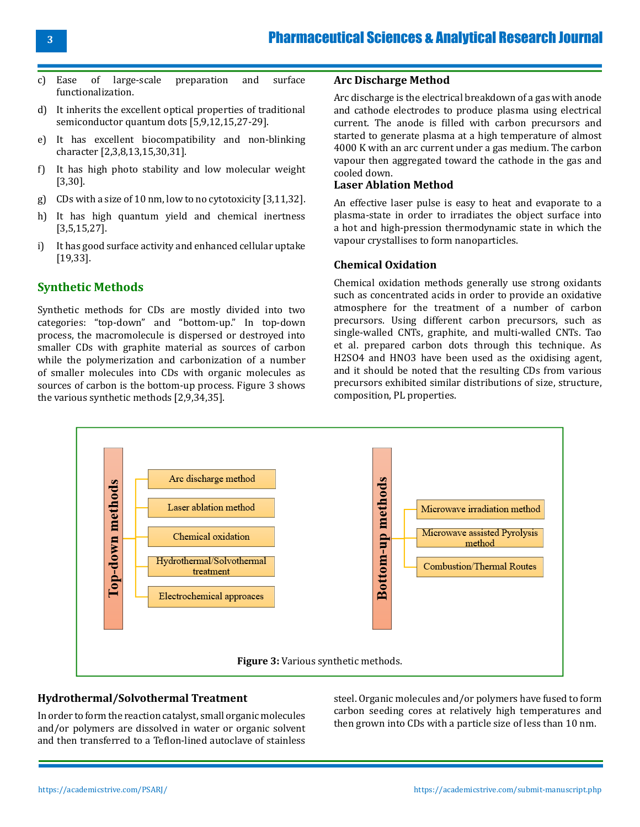- c) Ease of large-scale preparation and surface functionalization.
- d) It inherits the excellent optical properties of traditional semiconductor quantum dots [5,9,12,15,27-29].
- e) It has excellent biocompatibility and non-blinking character [2,3,8,13,15,30,31].
- f) It has high photo stability and low molecular weight [3,30].
- g) CDs with a size of 10 nm, low to no cytotoxicity [3,11,32].
- h) It has high quantum yield and chemical inertness [3,5,15,27].
- i) It has good surface activity and enhanced cellular uptake [19,33].

# **Synthetic Methods**

Synthetic methods for CDs are mostly divided into two categories: "top-down" and "bottom-up." In top-down process, the macromolecule is dispersed or destroyed into smaller CDs with graphite material as sources of carbon while the polymerization and carbonization of a number of smaller molecules into CDs with organic molecules as sources of carbon is the bottom-up process. Figure 3 shows the various synthetic methods [2,9,34,35].

#### **Arc Discharge Method**

Arc discharge is the electrical breakdown of a gas with anode and cathode electrodes to produce plasma using electrical current. The anode is filled with carbon precursors and started to generate plasma at a high temperature of almost 4000 K with an arc current under a gas medium. The carbon vapour then aggregated toward the cathode in the gas and cooled down.

#### **Laser Ablation Method**

An effective laser pulse is easy to heat and evaporate to a plasma-state in order to irradiates the object surface into a hot and high-pression thermodynamic state in which the vapour crystallises to form nanoparticles.

### **Chemical Oxidation**

Chemical oxidation methods generally use strong oxidants such as concentrated acids in order to provide an oxidative atmosphere for the treatment of a number of carbon precursors. Using different carbon precursors, such as single-walled CNTs, graphite, and multi-walled CNTs. Tao et al. prepared carbon dots through this technique. As H2SO4 and HNO3 have been used as the oxidising agent, and it should be noted that the resulting CDs from various precursors exhibited similar distributions of size, structure, composition, PL properties.



### **Hydrothermal/Solvothermal Treatment**

In order to form the reaction catalyst, small organic molecules and/or polymers are dissolved in water or organic solvent and then transferred to a Teflon-lined autoclave of stainless

steel. Organic molecules and/or polymers have fused to form carbon seeding cores at relatively high temperatures and then grown into CDs with a particle size of less than 10 nm.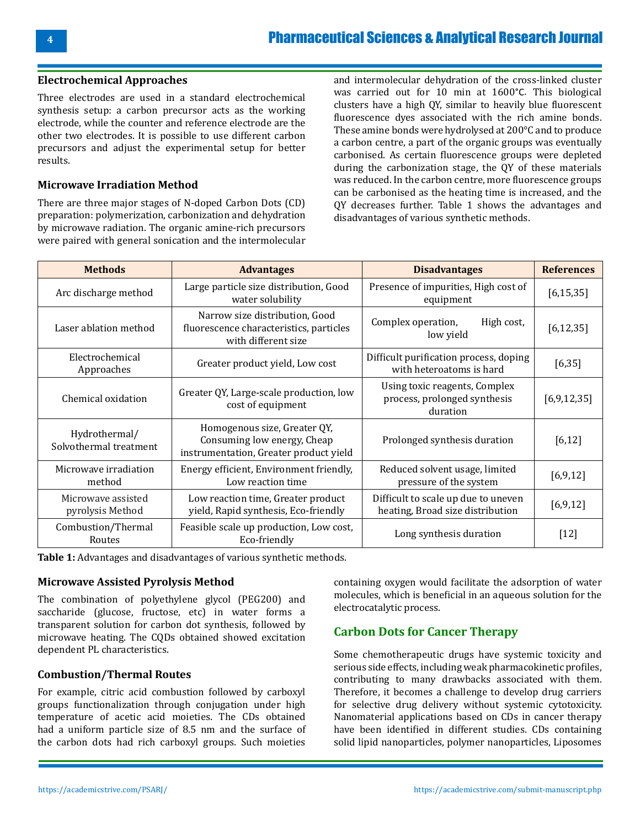#### **Electrochemical Approaches**

Three electrodes are used in a standard electrochemical synthesis setup: a carbon precursor acts as the working electrode, while the counter and reference electrode are the other two electrodes. It is possible to use different carbon precursors and adjust the experimental setup for better results.

#### **Microwave Irradiation Method**

There are three major stages of N-doped Carbon Dots (CD) preparation: polymerization, carbonization and dehydration by microwave radiation. The organic amine-rich precursors were paired with general sonication and the intermolecular

and intermolecular dehydration of the cross-linked cluster was carried out for 10 min at 1600°C. This biological clusters have a high QY, similar to heavily blue fluorescent fluorescence dyes associated with the rich amine bonds. These amine bonds were hydrolysed at 200°C and to produce a carbon centre, a part of the organic groups was eventually carbonised. As certain fluorescence groups were depleted during the carbonization stage, the QY of these materials was reduced. In the carbon centre, more fluorescence groups can be carbonised as the heating time is increased, and the QY decreases further. Table 1 shows the advantages and disadvantages of various synthetic methods.

| <b>Methods</b>                          | <b>Advantages</b>                                                                                     | <b>Disadvantages</b>                                                      | <b>References</b> |
|-----------------------------------------|-------------------------------------------------------------------------------------------------------|---------------------------------------------------------------------------|-------------------|
| Arc discharge method                    | Large particle size distribution, Good<br>water solubility                                            | Presence of impurities, High cost of<br>equipment                         | [6, 15, 35]       |
| Laser ablation method                   | Narrow size distribution, Good<br>fluorescence characteristics, particles<br>with different size      | Complex operation,<br>High cost,<br>low yield                             | [6, 12, 35]       |
| Electrochemical<br>Approaches           | Greater product yield, Low cost                                                                       | Difficult purification process, doping<br>with heteroatoms is hard        | [6, 35]           |
| Chemical oxidation                      | Greater QY, Large-scale production, low<br>cost of equipment                                          | Using toxic reagents, Complex<br>process, prolonged synthesis<br>duration | [6, 9, 12, 35]    |
| Hydrothermal/<br>Solvothermal treatment | Homogenous size, Greater QY,<br>Consuming low energy, Cheap<br>instrumentation, Greater product yield | Prolonged synthesis duration                                              | [6, 12]           |
| Microwave irradiation<br>method         | Energy efficient, Environment friendly,<br>Low reaction time                                          | Reduced solvent usage, limited<br>pressure of the system                  | [6, 9, 12]        |
| Microwave assisted<br>pyrolysis Method  | Low reaction time, Greater product<br>yield, Rapid synthesis, Eco-friendly                            | Difficult to scale up due to uneven<br>heating, Broad size distribution   | [6, 9, 12]        |
| Combustion/Thermal<br>Routes            | Feasible scale up production, Low cost,<br>Eco-friendly                                               | Long synthesis duration                                                   | $[12]$            |

**Table 1:** Advantages and disadvantages of various synthetic methods.

#### **Microwave Assisted Pyrolysis Method**

The combination of polyethylene glycol (PEG200) and saccharide (glucose, fructose, etc) in water forms a transparent solution for carbon dot synthesis, followed by microwave heating. The CQDs obtained showed excitation dependent PL characteristics.

#### **Combustion/Thermal Routes**

For example, citric acid combustion followed by carboxyl groups functionalization through conjugation under high temperature of acetic acid moieties. The CDs obtained had a uniform particle size of 8.5 nm and the surface of the carbon dots had rich carboxyl groups. Such moieties containing oxygen would facilitate the adsorption of water molecules, which is beneficial in an aqueous solution for the electrocatalytic process.

# **Carbon Dots for Cancer Therapy**

Some chemotherapeutic drugs have systemic toxicity and serious side effects, including weak pharmacokinetic profiles, contributing to many drawbacks associated with them. Therefore, it becomes a challenge to develop drug carriers for selective drug delivery without systemic cytotoxicity. Nanomaterial applications based on CDs in cancer therapy have been identified in different studies. CDs containing solid lipid nanoparticles, polymer nanoparticles, Liposomes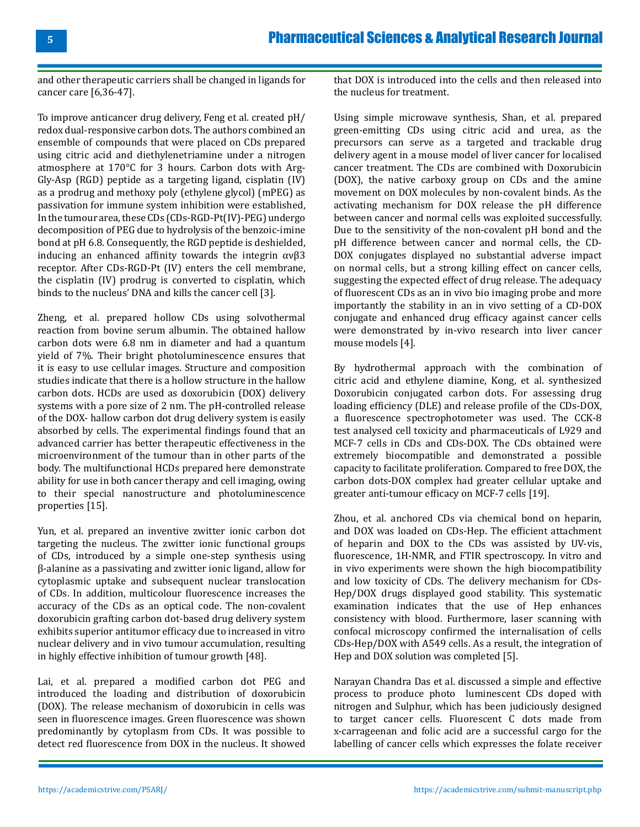and other therapeutic carriers shall be changed in ligands for cancer care [6,36-47].

To improve anticancer drug delivery, Feng et al. created pH/ redox dual-responsive carbon dots. The authors combined an ensemble of compounds that were placed on CDs prepared using citric acid and diethylenetriamine under a nitrogen atmosphere at 170°C for 3 hours. Carbon dots with Arg-Gly-Asp (RGD) peptide as a targeting ligand, cisplatin (IV) as a prodrug and methoxy poly (ethylene glycol) (mPEG) as passivation for immune system inhibition were established, In the tumour area, these CDs (CDs-RGD-Pt(IV)-PEG) undergo decomposition of PEG due to hydrolysis of the benzoic-imine bond at pH 6.8. Consequently, the RGD peptide is deshielded, inducing an enhanced affinity towards the integrin  $\alpha \nu \beta 3$ receptor. After CDs-RGD-Pt (IV) enters the cell membrane, the cisplatin (IV) prodrug is converted to cisplatin, which binds to the nucleus' DNA and kills the cancer cell [3].

Zheng, et al. prepared hollow CDs using solvothermal reaction from bovine serum albumin. The obtained hallow carbon dots were 6.8 nm in diameter and had a quantum yield of 7%. Their bright photoluminescence ensures that it is easy to use cellular images. Structure and composition studies indicate that there is a hollow structure in the hallow carbon dots. HCDs are used as doxorubicin (DOX) delivery systems with a pore size of 2 nm. The pH-controlled release of the DOX- hallow carbon dot drug delivery system is easily absorbed by cells. The experimental findings found that an advanced carrier has better therapeutic effectiveness in the microenvironment of the tumour than in other parts of the body. The multifunctional HCDs prepared here demonstrate ability for use in both cancer therapy and cell imaging, owing to their special nanostructure and photoluminescence properties [15].

Yun, et al. prepared an inventive zwitter ionic carbon dot targeting the nucleus. The zwitter ionic functional groups of CDs, introduced by a simple one-step synthesis using β-alanine as a passivating and zwitter ionic ligand, allow for cytoplasmic uptake and subsequent nuclear translocation of CDs. In addition, multicolour fluorescence increases the accuracy of the CDs as an optical code. The non-covalent doxorubicin grafting carbon dot-based drug delivery system exhibits superior antitumor efficacy due to increased in vitro nuclear delivery and in vivo tumour accumulation, resulting in highly effective inhibition of tumour growth [48].

Lai, et al. prepared a modified carbon dot PEG and introduced the loading and distribution of doxorubicin (DOX). The release mechanism of doxorubicin in cells was seen in fluorescence images. Green fluorescence was shown predominantly by cytoplasm from CDs. It was possible to detect red fluorescence from DOX in the nucleus. It showed

that DOX is introduced into the cells and then released into the nucleus for treatment.

Using simple microwave synthesis, Shan, et al. prepared green-emitting CDs using citric acid and urea, as the precursors can serve as a targeted and trackable drug delivery agent in a mouse model of liver cancer for localised cancer treatment. The CDs are combined with Doxorubicin (DOX), the native carboxy group on CDs and the amine movement on DOX molecules by non-covalent binds. As the activating mechanism for DOX release the pH difference between cancer and normal cells was exploited successfully. Due to the sensitivity of the non-covalent pH bond and the pH difference between cancer and normal cells, the CD-DOX conjugates displayed no substantial adverse impact on normal cells, but a strong killing effect on cancer cells, suggesting the expected effect of drug release. The adequacy of fluorescent CDs as an in vivo bio imaging probe and more importantly the stability in an in vivo setting of a CD-DOX conjugate and enhanced drug efficacy against cancer cells were demonstrated by in-vivo research into liver cancer mouse models [4].

By hydrothermal approach with the combination of citric acid and ethylene diamine, Kong, et al. synthesized Doxorubicin conjugated carbon dots. For assessing drug loading efficiency (DLE) and release profile of the CDs-DOX, a fluorescence spectrophotometer was used. The CCK-8 test analysed cell toxicity and pharmaceuticals of L929 and MCF-7 cells in CDs and CDs-DOX. The CDs obtained were extremely biocompatible and demonstrated a possible capacity to facilitate proliferation. Compared to free DOX, the carbon dots-DOX complex had greater cellular uptake and greater anti-tumour efficacy on MCF-7 cells [19].

Zhou, et al. anchored CDs via chemical bond on heparin, and DOX was loaded on CDs-Hep. The efficient attachment of heparin and DOX to the CDs was assisted by UV-vis, fluorescence, 1H-NMR, and FTIR spectroscopy. In vitro and in vivo experiments were shown the high biocompatibility and low toxicity of CDs. The delivery mechanism for CDs-Hep/DOX drugs displayed good stability. This systematic examination indicates that the use of Hep enhances consistency with blood. Furthermore, laser scanning with confocal microscopy confirmed the internalisation of cells CDs-Hep/DOX with A549 cells. As a result, the integration of Hep and DOX solution was completed [5].

Narayan Chandra Das et al. discussed a simple and effective process to produce photo luminescent CDs doped with nitrogen and Sulphur, which has been judiciously designed to target cancer cells. Fluorescent C dots made from x-carrageenan and folic acid are a successful cargo for the labelling of cancer cells which expresses the folate receiver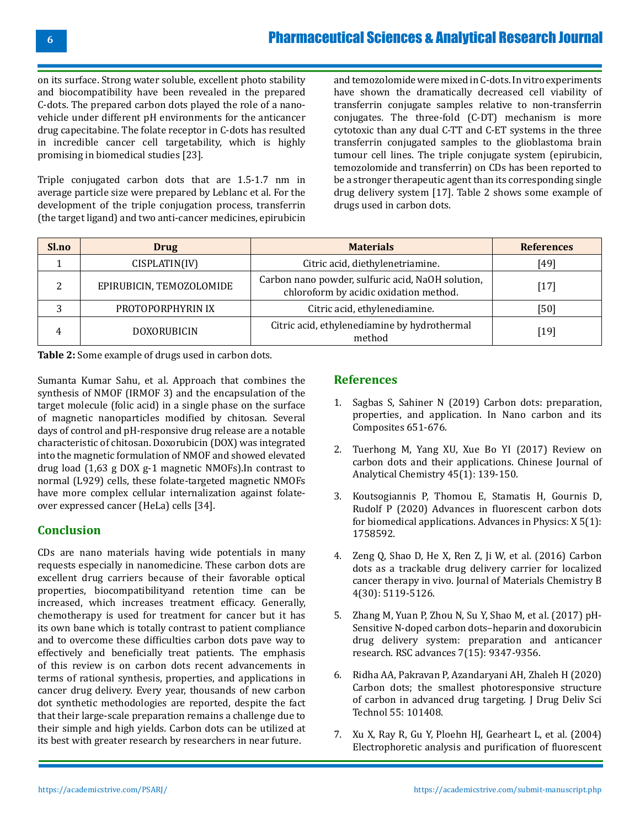on its surface. Strong water soluble, excellent photo stability and biocompatibility have been revealed in the prepared C-dots. The prepared carbon dots played the role of a nanovehicle under different pH environments for the anticancer drug capecitabine. The folate receptor in C-dots has resulted in incredible cancer cell targetability, which is highly promising in biomedical studies [23].

Triple conjugated carbon dots that are 1.5-1.7 nm in average particle size were prepared by Leblanc et al. For the development of the triple conjugation process, transferrin (the target ligand) and two anti-cancer medicines, epirubicin

and temozolomide were mixed in C-dots. In vitro experiments have shown the dramatically decreased cell viability of transferrin conjugate samples relative to non-transferrin conjugates. The three-fold (C-DT) mechanism is more cytotoxic than any dual C-TT and C-ET systems in the three transferrin conjugated samples to the glioblastoma brain tumour cell lines. The triple conjugate system (epirubicin, temozolomide and transferrin) on CDs has been reported to be a stronger therapeutic agent than its corresponding single drug delivery system [17]. Table 2 shows some example of drugs used in carbon dots.

| Sl.no | <b>Drug</b>              | <b>Materials</b>                                                                            | <b>References</b> |
|-------|--------------------------|---------------------------------------------------------------------------------------------|-------------------|
|       | CISPLATIN(IV)            | Citric acid, diethylenetriamine.                                                            | 491               |
|       | EPIRUBICIN, TEMOZOLOMIDE | Carbon nano powder, sulfuric acid, NaOH solution,<br>chloroform by acidic oxidation method. | 17                |
|       | PROTOPORPHYRIN IX        | Citric acid, ethylenediamine.                                                               | [50]              |
| 4     | <b>DOXORUBICIN</b>       | Citric acid, ethylenediamine by hydrothermal<br>method                                      | [ $19$ ]          |

**Table 2:** Some example of drugs used in carbon dots.

Sumanta Kumar Sahu, et al. Approach that combines the synthesis of NMOF (IRMOF 3) and the encapsulation of the target molecule (folic acid) in a single phase on the surface of magnetic nanoparticles modified by chitosan. Several days of control and pH-responsive drug release are a notable characteristic of chitosan. Doxorubicin (DOX) was integrated into the magnetic formulation of NMOF and showed elevated drug load (1,63 g DOX g-1 magnetic NMOFs).In contrast to normal (L929) cells, these folate-targeted magnetic NMOFs have more complex cellular internalization against folateover expressed cancer (HeLa) cells [34].

### **Conclusion**

CDs are nano materials having wide potentials in many requests especially in nanomedicine. These carbon dots are excellent drug carriers because of their favorable optical properties, biocompatibilityand retention time can be increased, which increases treatment efficacy. Generally, chemotherapy is used for treatment for cancer but it has its own bane which is totally contrast to patient compliance and to overcome these difficulties carbon dots pave way to effectively and beneficially treat patients. The emphasis of this review is on carbon dots recent advancements in terms of rational synthesis, properties, and applications in cancer drug delivery. Every year, thousands of new carbon dot synthetic methodologies are reported, despite the fact that their large-scale preparation remains a challenge due to their simple and high yields. Carbon dots can be utilized at its best with greater research by researchers in near future.

# **References**

- 1. Sagbas S, Sahiner N (2019) Carbon dots: preparation, properties, and application. In Nano carbon and its Composites 651-676.
- 2. Tuerhong M, Yang XU, Xue Bo YI (2017) Review on carbon dots and their applications. Chinese Journal of Analytical Chemistry 45(1): 139-150.
- 3. [Koutsogiannis P, Thomou E, Stamatis H, Gournis D,](https://www.tandfonline.com/doi/full/10.1080/23746149.2020.1758592)  [Rudolf P \(2020\) Advances in fluorescent carbon dots](https://www.tandfonline.com/doi/full/10.1080/23746149.2020.1758592) [for biomedical applications. Advances in Physics: X 5\(1\):](https://www.tandfonline.com/doi/full/10.1080/23746149.2020.1758592) [1758592.](https://www.tandfonline.com/doi/full/10.1080/23746149.2020.1758592)
- 4. Zeng Q, Shao D, He X, Ren Z, Ji W, et al. (2016) Carbon dots as a trackable drug delivery carrier for localized cancer therapy in vivo. Journal of Materials Chemistry B 4(30): 5119-5126.
- 5. Zhang M, Yuan P, Zhou N, Su Y, Shao M, et al. (2017) pH-Sensitive N-doped carbon dots–heparin and doxorubicin drug delivery system: preparation and anticancer research. RSC advances 7(15): 9347-9356.
- 6. [Ridha AA, Pakravan P, Azandaryani AH, Zhaleh H \(2020\)](https://www.x-mol.com/paper/1308668646946738176?recommendPaper=5677756) [Carbon dots; the smallest photoresponsive structure](https://www.x-mol.com/paper/1308668646946738176?recommendPaper=5677756)  [of carbon in advanced drug targeting. J Drug Deliv Sci](https://www.x-mol.com/paper/1308668646946738176?recommendPaper=5677756) [Technol 55: 101408.](https://www.x-mol.com/paper/1308668646946738176?recommendPaper=5677756)
- 7. [Xu X, Ray R, Gu Y, Ploehn HJ, Gearheart L, et al. \(2004\)](https://pubs.acs.org/doi/10.1021/ja040082h) [Electrophoretic analysis and purification of fluorescent](https://pubs.acs.org/doi/10.1021/ja040082h)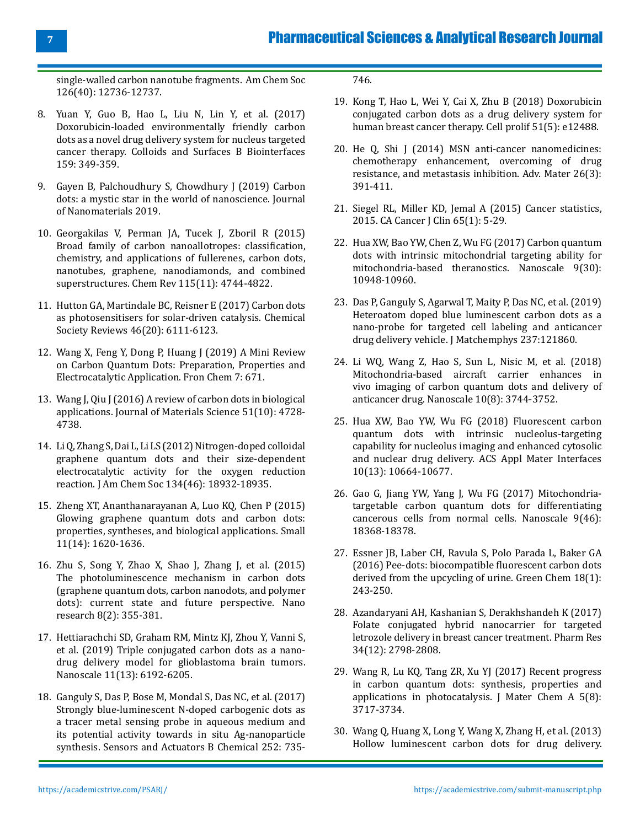**7**

[single-walled carbon nanotube fragments. Am Chem Soc](https://pubs.acs.org/doi/10.1021/ja040082h) [126\(40\): 12736-12737.](https://pubs.acs.org/doi/10.1021/ja040082h)

- 8. [Yuan Y, Guo B, Hao L, Liu N, Lin Y, et al. \(2017\)](https://pubmed.ncbi.nlm.nih.gov/28806666/) [Doxorubicin-loaded environmentally friendly carbon](https://pubmed.ncbi.nlm.nih.gov/28806666/) [dots as a novel drug delivery system for nucleus targeted](https://pubmed.ncbi.nlm.nih.gov/28806666/) [cancer therapy. Colloids and Surfaces B Biointerfaces](https://pubmed.ncbi.nlm.nih.gov/28806666/) [159: 349-359.](https://pubmed.ncbi.nlm.nih.gov/28806666/)
- 9. [Gayen B, Palchoudhury S, Chowdhury J \(2019\) Carbon](https://www.hindawi.com/journals/jnm/2019/3451307/) [dots: a mystic star in the world of nanoscience. Journal](https://www.hindawi.com/journals/jnm/2019/3451307/) [of Nanomaterials 2019.](https://www.hindawi.com/journals/jnm/2019/3451307/)
- 10. [Georgakilas V, Perman JA, Tucek J, Zboril R \(2015\)](https://pubs.acs.org/doi/10.1021/cr500304f) [Broad family of carbon nanoallotropes: classification,](https://pubs.acs.org/doi/10.1021/cr500304f) [chemistry, and applications of fullerenes, carbon dots,](https://pubs.acs.org/doi/10.1021/cr500304f) [nanotubes, graphene, nanodiamonds, and combined](https://pubs.acs.org/doi/10.1021/cr500304f) [superstructures. Chem Rev 115\(11\): 4744-4822.](https://pubs.acs.org/doi/10.1021/cr500304f)
- 11. Hutton GA, Martindale BC, Reisner E (2017) Carbon dots as photosensitisers for solar-driven catalysis. Chemical Society Reviews 46(20): 6111-6123.
- 12. [Wang X, Feng Y, Dong P, Huang J \(2019\) A Mini Review](https://www.frontiersin.org/articles/10.3389/fchem.2019.00671/full) [on Carbon Quantum Dots: Preparation, Properties and](https://www.frontiersin.org/articles/10.3389/fchem.2019.00671/full) [Electrocatalytic Application. Fron Chem 7: 671.](https://www.frontiersin.org/articles/10.3389/fchem.2019.00671/full)
- 13. [Wang J, Qiu J \(2016\) A review of carbon dots in biological](https://link.springer.com/article/10.1007/s10853-016-9797-7) [applications. Journal of Materials Science 51\(10\): 4728-](https://link.springer.com/article/10.1007/s10853-016-9797-7) [4738.](https://link.springer.com/article/10.1007/s10853-016-9797-7)
- 14. [Li Q, Zhang S, Dai L, Li LS \(2012\) Nitrogen-doped colloidal](https://pubs.acs.org/doi/10.1021/ja309270h) [graphene quantum dots and their size-dependent](https://pubs.acs.org/doi/10.1021/ja309270h) [electrocatalytic activity for the oxygen reduction](https://pubs.acs.org/doi/10.1021/ja309270h) [reaction. J Am Chem Soc 134\(46\): 18932-18935.](https://pubs.acs.org/doi/10.1021/ja309270h)
- 15. [Zheng XT, Ananthanarayanan A, Luo KQ, Chen P \(2015\)](https://onlinelibrary.wiley.com/doi/abs/10.1002/smll.201402648) [Glowing graphene quantum dots and carbon dots:](https://onlinelibrary.wiley.com/doi/abs/10.1002/smll.201402648) [properties, syntheses, and biological applications. Small](https://onlinelibrary.wiley.com/doi/abs/10.1002/smll.201402648) [11\(14\): 1620-1636.](https://onlinelibrary.wiley.com/doi/abs/10.1002/smll.201402648)
- 16. [Zhu S, Song Y, Zhao X, Shao J, Zhang J, et al. \(2015\)](https://link.springer.com/article/10.1007/s12274-014-0644-3) [The photoluminescence mechanism in carbon dots](https://link.springer.com/article/10.1007/s12274-014-0644-3) [\(graphene quantum dots, carbon nanodots, and polymer](https://link.springer.com/article/10.1007/s12274-014-0644-3) [dots\): current state and future perspective. Nano](https://link.springer.com/article/10.1007/s12274-014-0644-3) [research 8\(2\): 355-381.](https://link.springer.com/article/10.1007/s12274-014-0644-3)
- 17. Hettiarachchi SD, Graham RM, Mintz KJ, Zhou Y, Vanni S, et al. (2019) Triple conjugated carbon dots as a nanodrug delivery model for glioblastoma brain tumors. Nanoscale 11(13): 6192-6205.
- 18. [Ganguly S, Das P, Bose M, Mondal S, Das NC, et al. \(2017\)](https://app.dimensions.ai/details/publication/pub.1085991274) [Strongly blue-luminescent N-doped carbogenic dots as](https://app.dimensions.ai/details/publication/pub.1085991274) [a tracer metal sensing probe in aqueous medium and](https://app.dimensions.ai/details/publication/pub.1085991274) [its potential activity towards in situ Ag-nanoparticle](https://app.dimensions.ai/details/publication/pub.1085991274) [synthesis. Sensors and Actuators B Chemical 252: 735-](https://app.dimensions.ai/details/publication/pub.1085991274)

[746.](https://app.dimensions.ai/details/publication/pub.1085991274)

- 19. [Kong T, Hao L, Wei Y, Cai X, Zhu B \(2018\) Doxorubicin](https://pubmed.ncbi.nlm.nih.gov/30039515/) [conjugated carbon dots as a drug delivery system for](https://pubmed.ncbi.nlm.nih.gov/30039515/) [human breast cancer therapy. Cell prolif 51\(5\): e12488.](https://pubmed.ncbi.nlm.nih.gov/30039515/)
- 20. [He Q, Shi J \(2014\) MSN anti-cancer nanomedicines:](https://pubmed.ncbi.nlm.nih.gov/24142549/) [chemotherapy enhancement, overcoming of drug](https://pubmed.ncbi.nlm.nih.gov/24142549/) [resistance, and metastasis inhibition. Adv. Mater 26\(3\):](https://pubmed.ncbi.nlm.nih.gov/24142549/) [391-411.](https://pubmed.ncbi.nlm.nih.gov/24142549/)
- 21. [Siegel RL, Miller KD, Jemal A \(2015\) Cancer statistics,](https://pubmed.ncbi.nlm.nih.gov/25559415/) [2015. CA Cancer J Clin 65\(1\): 5-29.](https://pubmed.ncbi.nlm.nih.gov/25559415/)
- 22. Hua XW, Bao YW, Chen Z, Wu FG (2017) Carbon quantum dots with intrinsic mitochondrial targeting ability for mitochondria-based theranostics. Nanoscale 9(30): 10948-10960.
- 23. [Das P, Ganguly S, Agarwal T, Maity P, Das NC, et al. \(2019\)](https://www.x-mol.com/paper/1234204707173453824?recommendPaper=5959257) [Heteroatom doped blue luminescent carbon dots as a](https://www.x-mol.com/paper/1234204707173453824?recommendPaper=5959257) [nano-probe for targeted cell labeling and anticancer](https://www.x-mol.com/paper/1234204707173453824?recommendPaper=5959257)  [drug delivery vehicle. J Matchemphys 237:121860.](https://www.x-mol.com/paper/1234204707173453824?recommendPaper=5959257)
- 24. [Li WQ, Wang Z, Hao S, Sun L, Nisic M, et al. \(2018\)](https://pubmed.ncbi.nlm.nih.gov/29411807/) [Mitochondria-based aircraft carrier enhances in](https://pubmed.ncbi.nlm.nih.gov/29411807/) [vivo imaging of carbon quantum dots and delivery of](https://pubmed.ncbi.nlm.nih.gov/29411807/) [anticancer drug. Nanoscale 10\(8\): 3744-3752.](https://pubmed.ncbi.nlm.nih.gov/29411807/)
- 25. [Hua XW, Bao YW, Wu FG \(2018\) Fluorescent carbon](https://pubmed.ncbi.nlm.nih.gov/29508612/)  [quantum dots with intrinsic nucleolus-targeting](https://pubmed.ncbi.nlm.nih.gov/29508612/)  [capability for nucleolus imaging and enhanced cytosolic](https://pubmed.ncbi.nlm.nih.gov/29508612/) [and nuclear drug delivery. ACS Appl Mater Interfaces](https://pubmed.ncbi.nlm.nih.gov/29508612/) [10\(13\): 10664-10677.](https://pubmed.ncbi.nlm.nih.gov/29508612/)
- 26. Gao G, Jiang YW, Yang J, Wu FG (2017) Mitochondriatargetable carbon quantum dots for differentiating cancerous cells from normal cells. Nanoscale 9(46): 18368-18378.
- 27. Essner JB, Laber CH, Ravula S, Polo Parada L, Baker GA (2016) Pee-dots: biocompatible fluorescent carbon dots derived from the upcycling of urine. Green Chem 18(1): 243-250.
- 28. [Azandaryani AH, Kashanian S, Derakhshandeh K \(2017\)](https://pubmed.ncbi.nlm.nih.gov/29110284/) [Folate conjugated hybrid nanocarrier for targeted](https://pubmed.ncbi.nlm.nih.gov/29110284/) [letrozole delivery in breast cancer treatment. Pharm Res](https://pubmed.ncbi.nlm.nih.gov/29110284/) [34\(12\): 2798-2808.](https://pubmed.ncbi.nlm.nih.gov/29110284/)
- 29. Wang R, Lu KQ, Tang ZR, Xu YJ (2017) Recent progress in carbon quantum dots: synthesis, properties and applications in photocatalysis. J Mater Chem A 5(8): 3717-3734.
- 30. Wang Q, Huang X, Long Y, Wang X, Zhang H, et al. (2013) Hollow luminescent carbon dots for drug delivery.